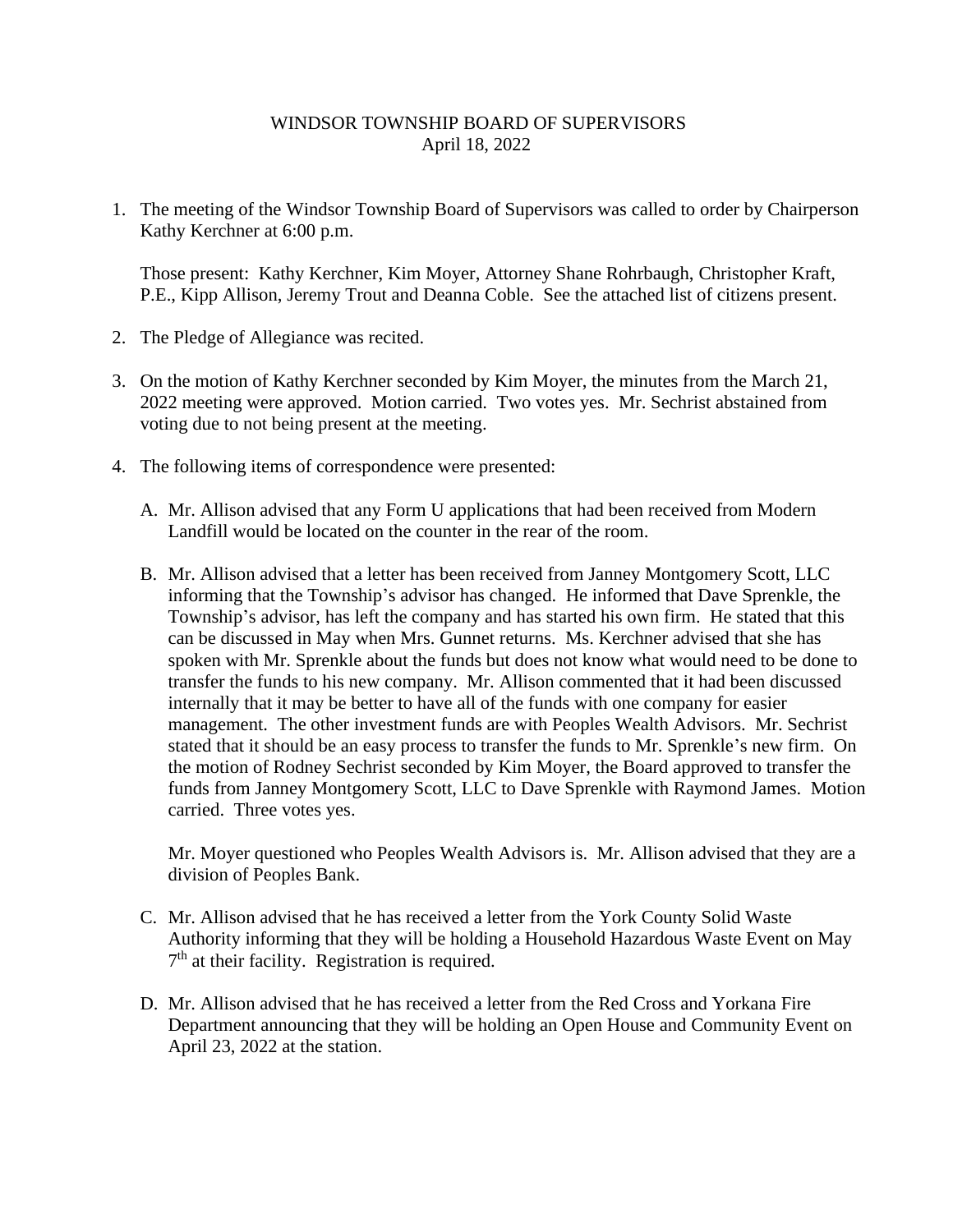## WINDSOR TOWNSHIP BOARD OF SUPERVISORS April 18, 2022

1. The meeting of the Windsor Township Board of Supervisors was called to order by Chairperson Kathy Kerchner at 6:00 p.m.

Those present: Kathy Kerchner, Kim Moyer, Attorney Shane Rohrbaugh, Christopher Kraft, P.E., Kipp Allison, Jeremy Trout and Deanna Coble. See the attached list of citizens present.

- 2. The Pledge of Allegiance was recited.
- 3. On the motion of Kathy Kerchner seconded by Kim Moyer, the minutes from the March 21, 2022 meeting were approved. Motion carried. Two votes yes. Mr. Sechrist abstained from voting due to not being present at the meeting.
- 4. The following items of correspondence were presented:
	- A. Mr. Allison advised that any Form U applications that had been received from Modern Landfill would be located on the counter in the rear of the room.
	- B. Mr. Allison advised that a letter has been received from Janney Montgomery Scott, LLC informing that the Township's advisor has changed. He informed that Dave Sprenkle, the Township's advisor, has left the company and has started his own firm. He stated that this can be discussed in May when Mrs. Gunnet returns. Ms. Kerchner advised that she has spoken with Mr. Sprenkle about the funds but does not know what would need to be done to transfer the funds to his new company. Mr. Allison commented that it had been discussed internally that it may be better to have all of the funds with one company for easier management. The other investment funds are with Peoples Wealth Advisors. Mr. Sechrist stated that it should be an easy process to transfer the funds to Mr. Sprenkle's new firm. On the motion of Rodney Sechrist seconded by Kim Moyer, the Board approved to transfer the funds from Janney Montgomery Scott, LLC to Dave Sprenkle with Raymond James. Motion carried. Three votes yes.

Mr. Moyer questioned who Peoples Wealth Advisors is. Mr. Allison advised that they are a division of Peoples Bank.

- C. Mr. Allison advised that he has received a letter from the York County Solid Waste Authority informing that they will be holding a Household Hazardous Waste Event on May 7<sup>th</sup> at their facility. Registration is required.
- D. Mr. Allison advised that he has received a letter from the Red Cross and Yorkana Fire Department announcing that they will be holding an Open House and Community Event on April 23, 2022 at the station.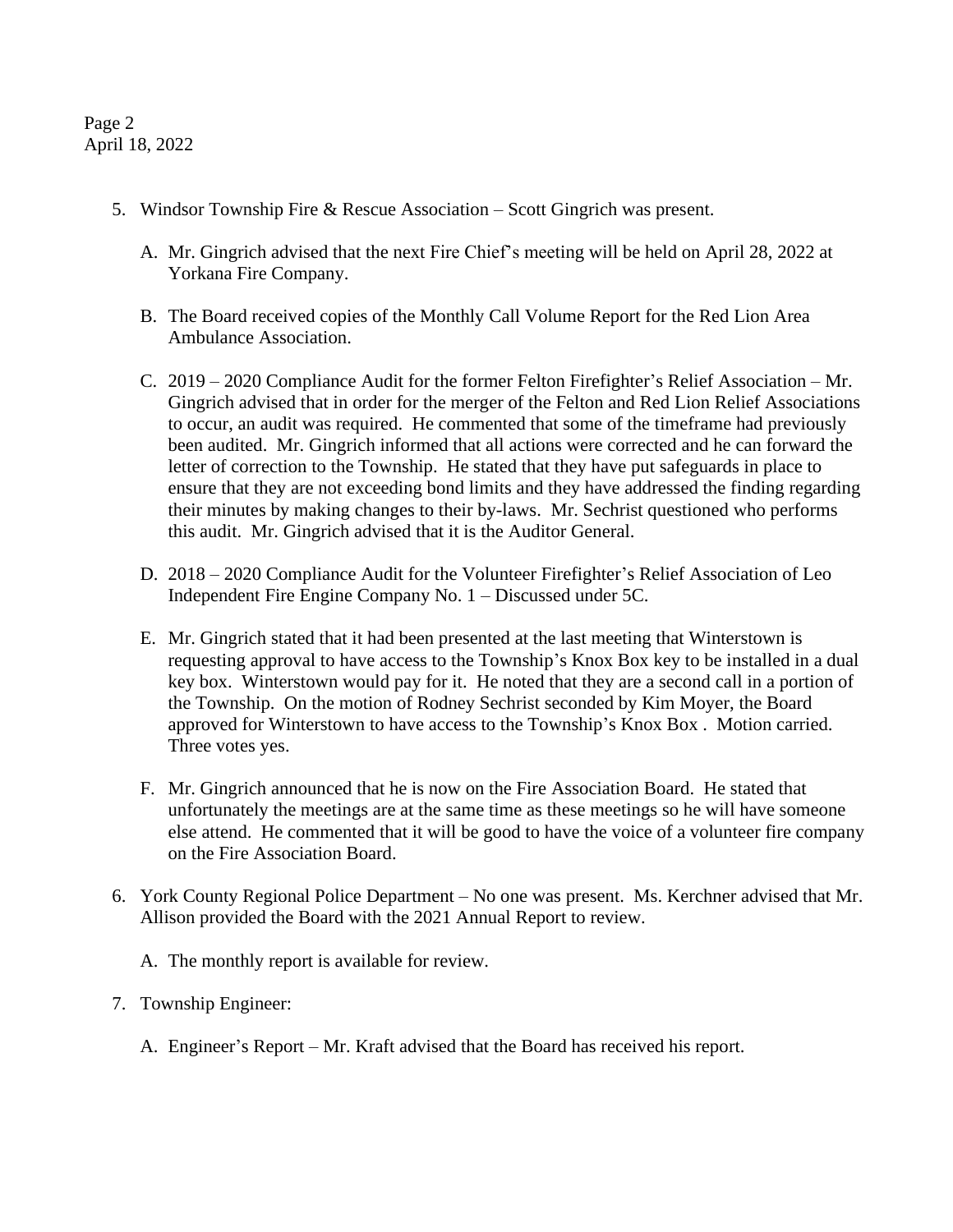Page 2 April 18, 2022

- 5. Windsor Township Fire & Rescue Association Scott Gingrich was present.
	- A. Mr. Gingrich advised that the next Fire Chief's meeting will be held on April 28, 2022 at Yorkana Fire Company.
	- B. The Board received copies of the Monthly Call Volume Report for the Red Lion Area Ambulance Association.
	- C. 2019 2020 Compliance Audit for the former Felton Firefighter's Relief Association Mr. Gingrich advised that in order for the merger of the Felton and Red Lion Relief Associations to occur, an audit was required. He commented that some of the timeframe had previously been audited. Mr. Gingrich informed that all actions were corrected and he can forward the letter of correction to the Township. He stated that they have put safeguards in place to ensure that they are not exceeding bond limits and they have addressed the finding regarding their minutes by making changes to their by-laws. Mr. Sechrist questioned who performs this audit. Mr. Gingrich advised that it is the Auditor General.
	- D. 2018 2020 Compliance Audit for the Volunteer Firefighter's Relief Association of Leo Independent Fire Engine Company No. 1 – Discussed under 5C.
	- E. Mr. Gingrich stated that it had been presented at the last meeting that Winterstown is requesting approval to have access to the Township's Knox Box key to be installed in a dual key box. Winterstown would pay for it. He noted that they are a second call in a portion of the Township. On the motion of Rodney Sechrist seconded by Kim Moyer, the Board approved for Winterstown to have access to the Township's Knox Box . Motion carried. Three votes yes.
	- F. Mr. Gingrich announced that he is now on the Fire Association Board. He stated that unfortunately the meetings are at the same time as these meetings so he will have someone else attend. He commented that it will be good to have the voice of a volunteer fire company on the Fire Association Board.
- 6. York County Regional Police Department No one was present. Ms. Kerchner advised that Mr. Allison provided the Board with the 2021 Annual Report to review.
	- A. The monthly report is available for review.
- 7. Township Engineer:
	- A. Engineer's Report Mr. Kraft advised that the Board has received his report.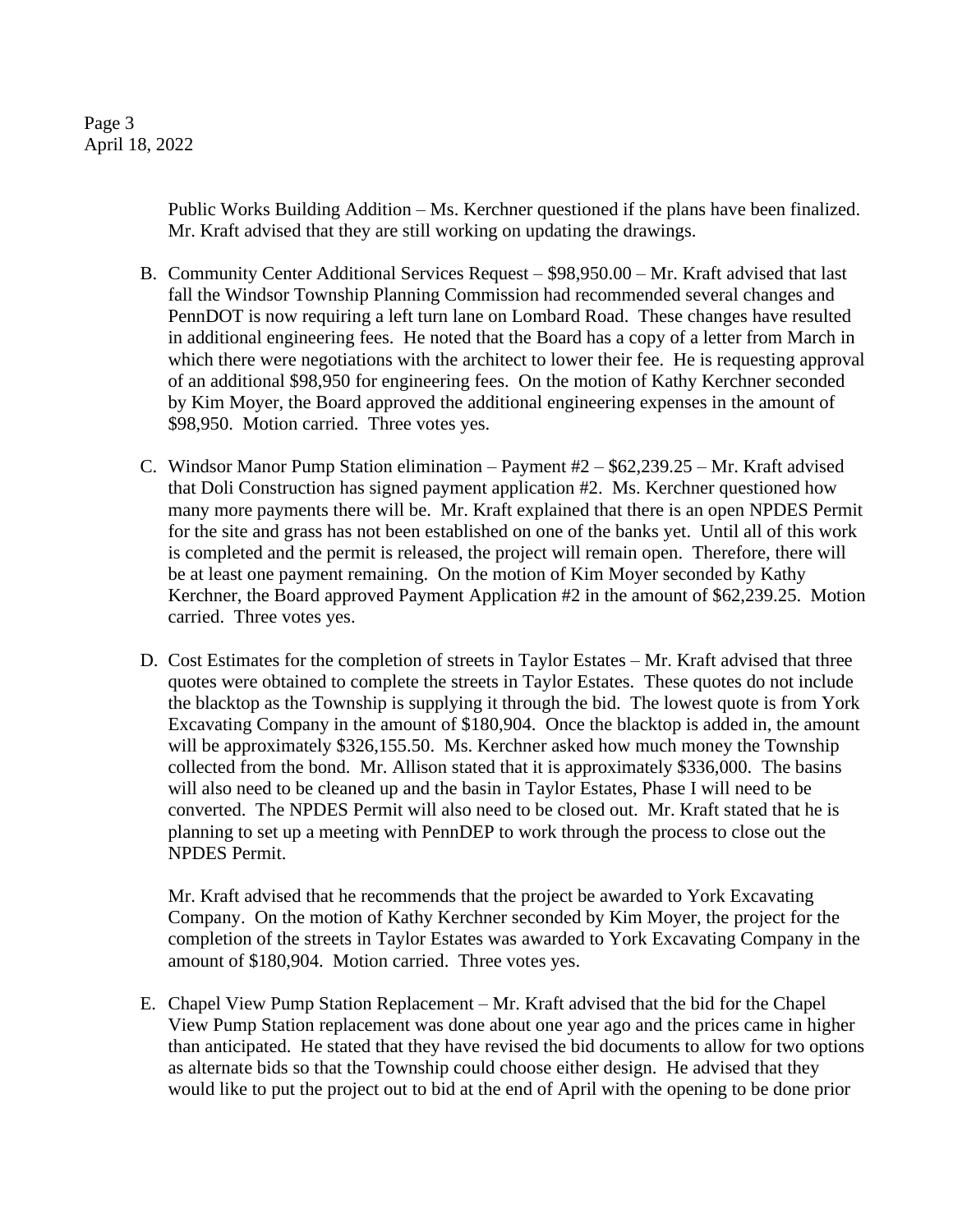Public Works Building Addition – Ms. Kerchner questioned if the plans have been finalized. Mr. Kraft advised that they are still working on updating the drawings.

- B. Community Center Additional Services Request \$98,950.00 Mr. Kraft advised that last fall the Windsor Township Planning Commission had recommended several changes and PennDOT is now requiring a left turn lane on Lombard Road. These changes have resulted in additional engineering fees. He noted that the Board has a copy of a letter from March in which there were negotiations with the architect to lower their fee. He is requesting approval of an additional \$98,950 for engineering fees. On the motion of Kathy Kerchner seconded by Kim Moyer, the Board approved the additional engineering expenses in the amount of \$98,950. Motion carried. Three votes yes.
- C. Windsor Manor Pump Station elimination Payment #2 \$62,239.25 Mr. Kraft advised that Doli Construction has signed payment application #2. Ms. Kerchner questioned how many more payments there will be. Mr. Kraft explained that there is an open NPDES Permit for the site and grass has not been established on one of the banks yet. Until all of this work is completed and the permit is released, the project will remain open. Therefore, there will be at least one payment remaining. On the motion of Kim Moyer seconded by Kathy Kerchner, the Board approved Payment Application #2 in the amount of \$62,239.25. Motion carried. Three votes yes.
- D. Cost Estimates for the completion of streets in Taylor Estates Mr. Kraft advised that three quotes were obtained to complete the streets in Taylor Estates. These quotes do not include the blacktop as the Township is supplying it through the bid. The lowest quote is from York Excavating Company in the amount of \$180,904. Once the blacktop is added in, the amount will be approximately \$326,155.50. Ms. Kerchner asked how much money the Township collected from the bond. Mr. Allison stated that it is approximately \$336,000. The basins will also need to be cleaned up and the basin in Taylor Estates, Phase I will need to be converted. The NPDES Permit will also need to be closed out. Mr. Kraft stated that he is planning to set up a meeting with PennDEP to work through the process to close out the NPDES Permit.

Mr. Kraft advised that he recommends that the project be awarded to York Excavating Company. On the motion of Kathy Kerchner seconded by Kim Moyer, the project for the completion of the streets in Taylor Estates was awarded to York Excavating Company in the amount of \$180,904. Motion carried. Three votes yes.

E. Chapel View Pump Station Replacement – Mr. Kraft advised that the bid for the Chapel View Pump Station replacement was done about one year ago and the prices came in higher than anticipated. He stated that they have revised the bid documents to allow for two options as alternate bids so that the Township could choose either design. He advised that they would like to put the project out to bid at the end of April with the opening to be done prior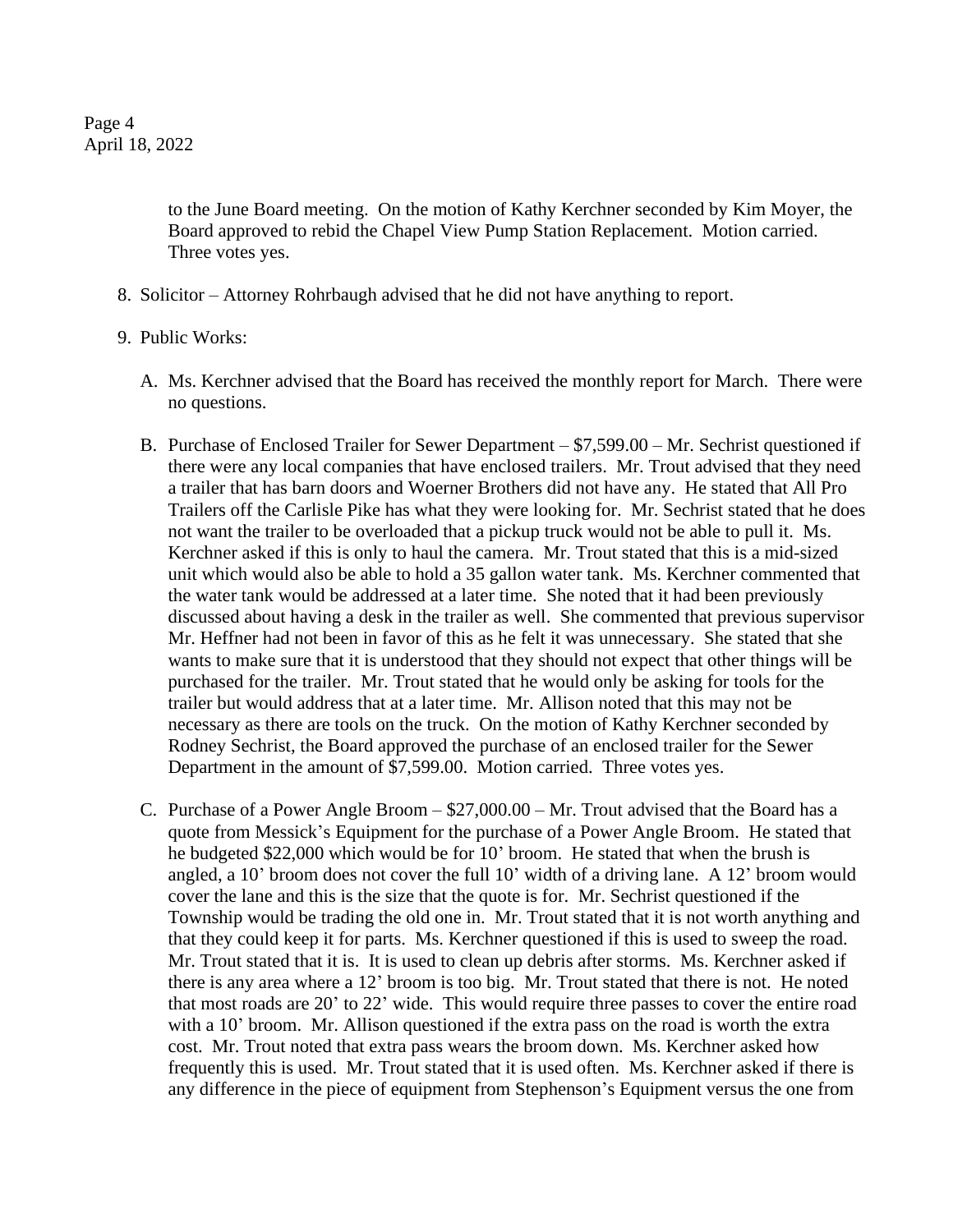to the June Board meeting. On the motion of Kathy Kerchner seconded by Kim Moyer, the Board approved to rebid the Chapel View Pump Station Replacement. Motion carried. Three votes yes.

- 8. Solicitor Attorney Rohrbaugh advised that he did not have anything to report.
- 9. Public Works:
	- A. Ms. Kerchner advised that the Board has received the monthly report for March. There were no questions.
	- B. Purchase of Enclosed Trailer for Sewer Department \$7,599.00 Mr. Sechrist questioned if there were any local companies that have enclosed trailers. Mr. Trout advised that they need a trailer that has barn doors and Woerner Brothers did not have any. He stated that All Pro Trailers off the Carlisle Pike has what they were looking for. Mr. Sechrist stated that he does not want the trailer to be overloaded that a pickup truck would not be able to pull it. Ms. Kerchner asked if this is only to haul the camera. Mr. Trout stated that this is a mid-sized unit which would also be able to hold a 35 gallon water tank. Ms. Kerchner commented that the water tank would be addressed at a later time. She noted that it had been previously discussed about having a desk in the trailer as well. She commented that previous supervisor Mr. Heffner had not been in favor of this as he felt it was unnecessary. She stated that she wants to make sure that it is understood that they should not expect that other things will be purchased for the trailer. Mr. Trout stated that he would only be asking for tools for the trailer but would address that at a later time. Mr. Allison noted that this may not be necessary as there are tools on the truck. On the motion of Kathy Kerchner seconded by Rodney Sechrist, the Board approved the purchase of an enclosed trailer for the Sewer Department in the amount of \$7,599.00. Motion carried. Three votes yes.
	- C. Purchase of a Power Angle Broom \$27,000.00 Mr. Trout advised that the Board has a quote from Messick's Equipment for the purchase of a Power Angle Broom. He stated that he budgeted \$22,000 which would be for 10' broom. He stated that when the brush is angled, a 10' broom does not cover the full 10' width of a driving lane. A 12' broom would cover the lane and this is the size that the quote is for. Mr. Sechrist questioned if the Township would be trading the old one in. Mr. Trout stated that it is not worth anything and that they could keep it for parts. Ms. Kerchner questioned if this is used to sweep the road. Mr. Trout stated that it is. It is used to clean up debris after storms. Ms. Kerchner asked if there is any area where a 12' broom is too big. Mr. Trout stated that there is not. He noted that most roads are 20' to 22' wide. This would require three passes to cover the entire road with a 10' broom. Mr. Allison questioned if the extra pass on the road is worth the extra cost. Mr. Trout noted that extra pass wears the broom down. Ms. Kerchner asked how frequently this is used. Mr. Trout stated that it is used often. Ms. Kerchner asked if there is any difference in the piece of equipment from Stephenson's Equipment versus the one from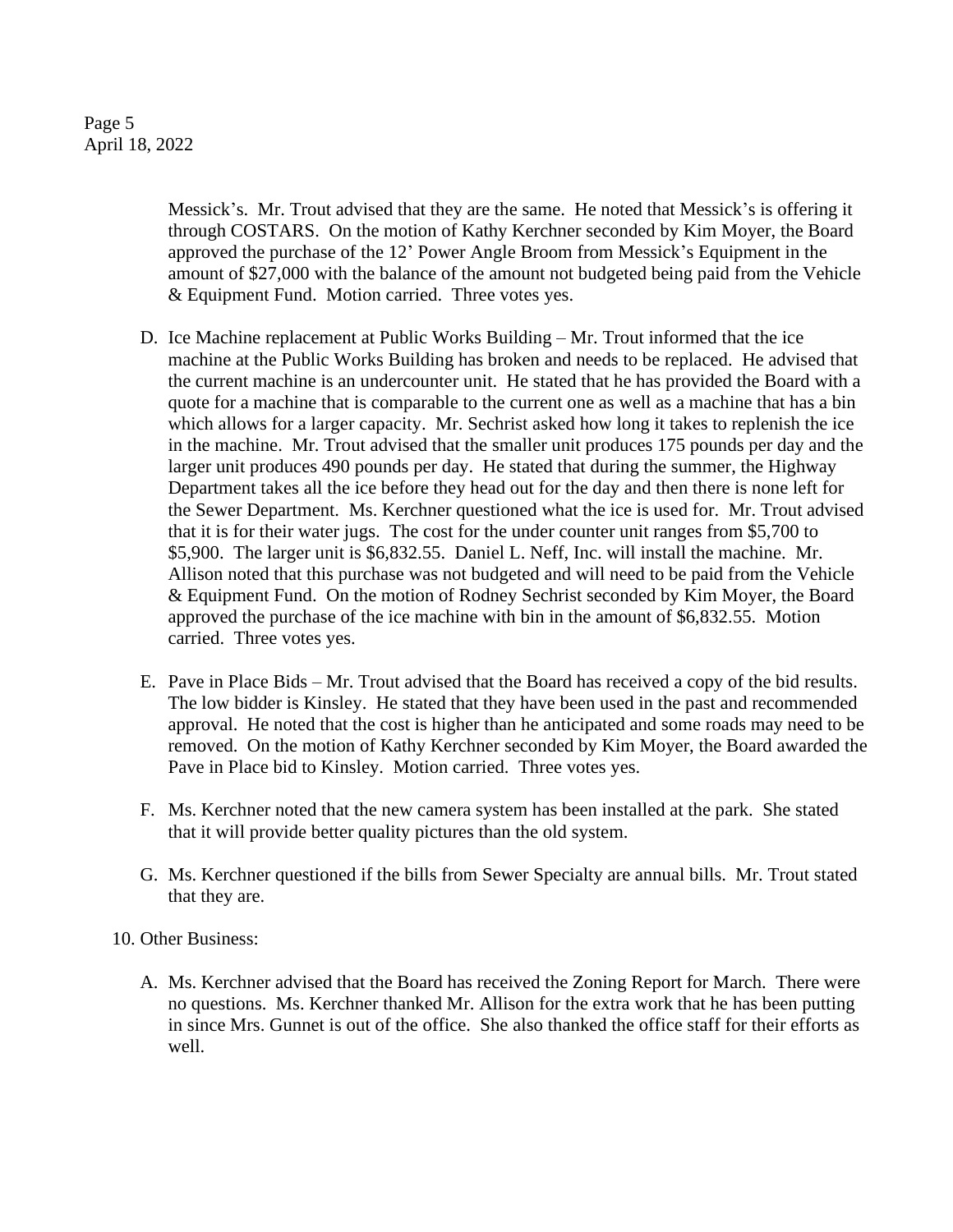## Page 5 April 18, 2022

Messick's. Mr. Trout advised that they are the same. He noted that Messick's is offering it through COSTARS. On the motion of Kathy Kerchner seconded by Kim Moyer, the Board approved the purchase of the 12' Power Angle Broom from Messick's Equipment in the amount of \$27,000 with the balance of the amount not budgeted being paid from the Vehicle & Equipment Fund. Motion carried. Three votes yes.

- D. Ice Machine replacement at Public Works Building Mr. Trout informed that the ice machine at the Public Works Building has broken and needs to be replaced. He advised that the current machine is an undercounter unit. He stated that he has provided the Board with a quote for a machine that is comparable to the current one as well as a machine that has a bin which allows for a larger capacity. Mr. Sechrist asked how long it takes to replenish the ice in the machine. Mr. Trout advised that the smaller unit produces 175 pounds per day and the larger unit produces 490 pounds per day. He stated that during the summer, the Highway Department takes all the ice before they head out for the day and then there is none left for the Sewer Department. Ms. Kerchner questioned what the ice is used for. Mr. Trout advised that it is for their water jugs. The cost for the under counter unit ranges from \$5,700 to \$5,900. The larger unit is \$6,832.55. Daniel L. Neff, Inc. will install the machine. Mr. Allison noted that this purchase was not budgeted and will need to be paid from the Vehicle & Equipment Fund. On the motion of Rodney Sechrist seconded by Kim Moyer, the Board approved the purchase of the ice machine with bin in the amount of \$6,832.55. Motion carried. Three votes yes.
- E. Pave in Place Bids Mr. Trout advised that the Board has received a copy of the bid results. The low bidder is Kinsley. He stated that they have been used in the past and recommended approval. He noted that the cost is higher than he anticipated and some roads may need to be removed. On the motion of Kathy Kerchner seconded by Kim Moyer, the Board awarded the Pave in Place bid to Kinsley. Motion carried. Three votes yes.
- F. Ms. Kerchner noted that the new camera system has been installed at the park. She stated that it will provide better quality pictures than the old system.
- G. Ms. Kerchner questioned if the bills from Sewer Specialty are annual bills. Mr. Trout stated that they are.

10. Other Business:

A. Ms. Kerchner advised that the Board has received the Zoning Report for March. There were no questions. Ms. Kerchner thanked Mr. Allison for the extra work that he has been putting in since Mrs. Gunnet is out of the office. She also thanked the office staff for their efforts as well.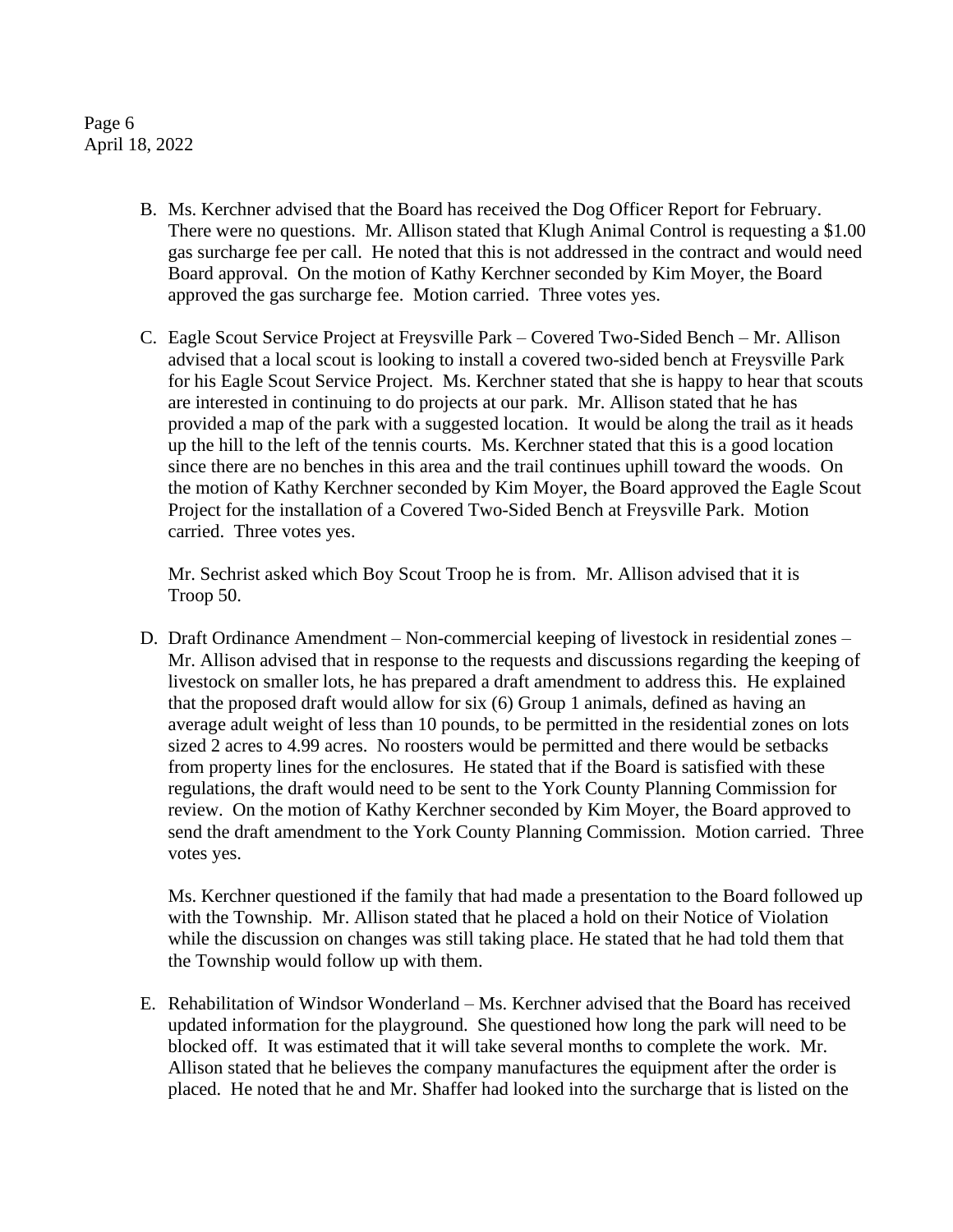Page 6 April 18, 2022

- B. Ms. Kerchner advised that the Board has received the Dog Officer Report for February. There were no questions. Mr. Allison stated that Klugh Animal Control is requesting a \$1.00 gas surcharge fee per call. He noted that this is not addressed in the contract and would need Board approval. On the motion of Kathy Kerchner seconded by Kim Moyer, the Board approved the gas surcharge fee. Motion carried. Three votes yes.
- C. Eagle Scout Service Project at Freysville Park Covered Two-Sided Bench Mr. Allison advised that a local scout is looking to install a covered two-sided bench at Freysville Park for his Eagle Scout Service Project. Ms. Kerchner stated that she is happy to hear that scouts are interested in continuing to do projects at our park. Mr. Allison stated that he has provided a map of the park with a suggested location. It would be along the trail as it heads up the hill to the left of the tennis courts. Ms. Kerchner stated that this is a good location since there are no benches in this area and the trail continues uphill toward the woods. On the motion of Kathy Kerchner seconded by Kim Moyer, the Board approved the Eagle Scout Project for the installation of a Covered Two-Sided Bench at Freysville Park. Motion carried. Three votes yes.

Mr. Sechrist asked which Boy Scout Troop he is from. Mr. Allison advised that it is Troop 50.

D. Draft Ordinance Amendment – Non-commercial keeping of livestock in residential zones – Mr. Allison advised that in response to the requests and discussions regarding the keeping of livestock on smaller lots, he has prepared a draft amendment to address this. He explained that the proposed draft would allow for six (6) Group 1 animals, defined as having an average adult weight of less than 10 pounds, to be permitted in the residential zones on lots sized 2 acres to 4.99 acres. No roosters would be permitted and there would be setbacks from property lines for the enclosures. He stated that if the Board is satisfied with these regulations, the draft would need to be sent to the York County Planning Commission for review. On the motion of Kathy Kerchner seconded by Kim Moyer, the Board approved to send the draft amendment to the York County Planning Commission. Motion carried. Three votes yes.

Ms. Kerchner questioned if the family that had made a presentation to the Board followed up with the Township. Mr. Allison stated that he placed a hold on their Notice of Violation while the discussion on changes was still taking place. He stated that he had told them that the Township would follow up with them.

E. Rehabilitation of Windsor Wonderland – Ms. Kerchner advised that the Board has received updated information for the playground. She questioned how long the park will need to be blocked off. It was estimated that it will take several months to complete the work. Mr. Allison stated that he believes the company manufactures the equipment after the order is placed. He noted that he and Mr. Shaffer had looked into the surcharge that is listed on the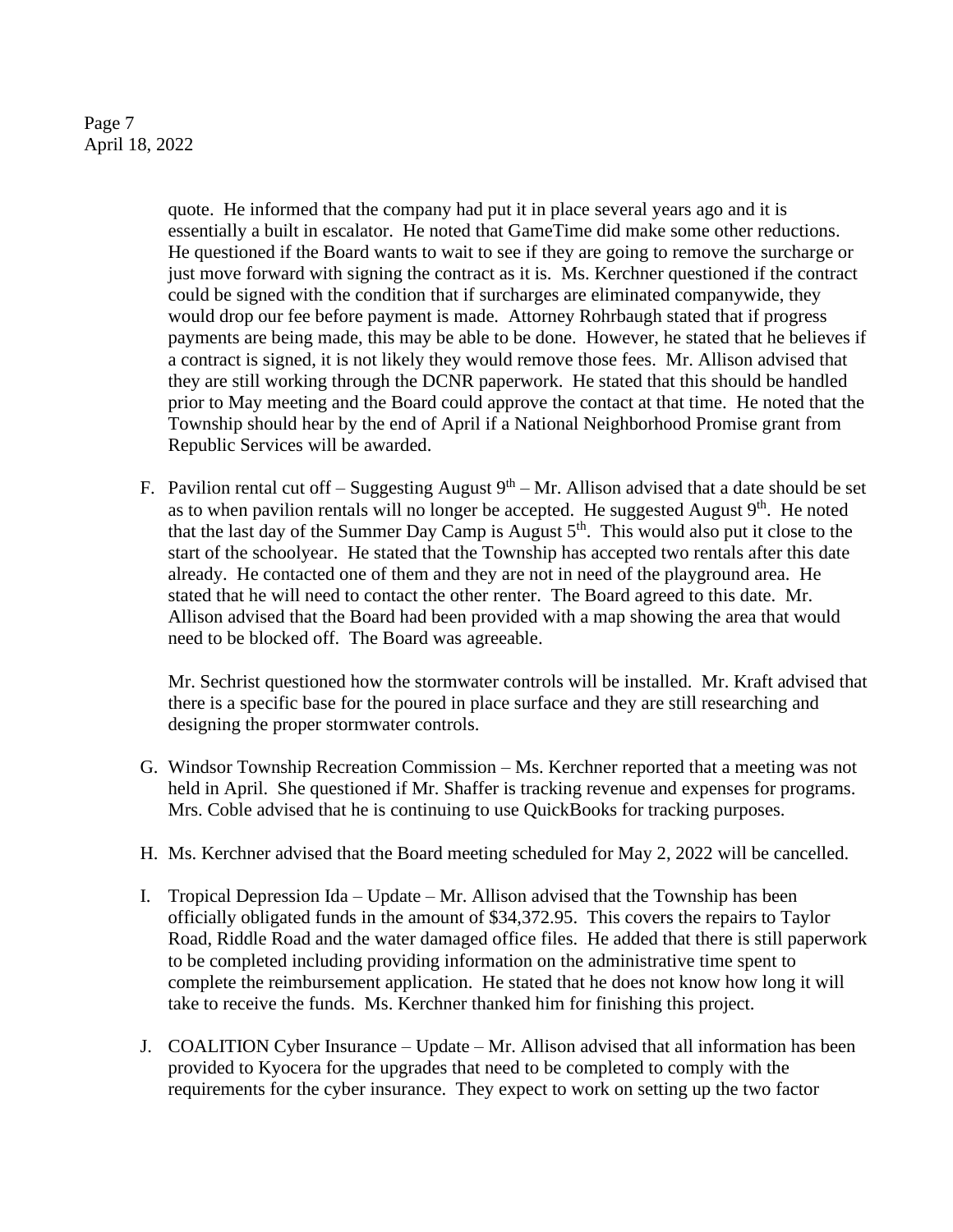Page 7 April 18, 2022

> quote. He informed that the company had put it in place several years ago and it is essentially a built in escalator. He noted that GameTime did make some other reductions. He questioned if the Board wants to wait to see if they are going to remove the surcharge or just move forward with signing the contract as it is. Ms. Kerchner questioned if the contract could be signed with the condition that if surcharges are eliminated companywide, they would drop our fee before payment is made. Attorney Rohrbaugh stated that if progress payments are being made, this may be able to be done. However, he stated that he believes if a contract is signed, it is not likely they would remove those fees. Mr. Allison advised that they are still working through the DCNR paperwork. He stated that this should be handled prior to May meeting and the Board could approve the contact at that time. He noted that the Township should hear by the end of April if a National Neighborhood Promise grant from Republic Services will be awarded.

F. Pavilion rental cut off – Suggesting August  $9<sup>th</sup>$  – Mr. Allison advised that a date should be set as to when pavilion rentals will no longer be accepted. He suggested August  $9<sup>th</sup>$ . He noted that the last day of the Summer Day Camp is August  $5<sup>th</sup>$ . This would also put it close to the start of the schoolyear. He stated that the Township has accepted two rentals after this date already. He contacted one of them and they are not in need of the playground area. He stated that he will need to contact the other renter. The Board agreed to this date. Mr. Allison advised that the Board had been provided with a map showing the area that would need to be blocked off. The Board was agreeable.

Mr. Sechrist questioned how the stormwater controls will be installed. Mr. Kraft advised that there is a specific base for the poured in place surface and they are still researching and designing the proper stormwater controls.

- G. Windsor Township Recreation Commission Ms. Kerchner reported that a meeting was not held in April. She questioned if Mr. Shaffer is tracking revenue and expenses for programs. Mrs. Coble advised that he is continuing to use QuickBooks for tracking purposes.
- H. Ms. Kerchner advised that the Board meeting scheduled for May 2, 2022 will be cancelled.
- I. Tropical Depression Ida Update Mr. Allison advised that the Township has been officially obligated funds in the amount of \$34,372.95. This covers the repairs to Taylor Road, Riddle Road and the water damaged office files. He added that there is still paperwork to be completed including providing information on the administrative time spent to complete the reimbursement application. He stated that he does not know how long it will take to receive the funds. Ms. Kerchner thanked him for finishing this project.
- J. COALITION Cyber Insurance Update Mr. Allison advised that all information has been provided to Kyocera for the upgrades that need to be completed to comply with the requirements for the cyber insurance. They expect to work on setting up the two factor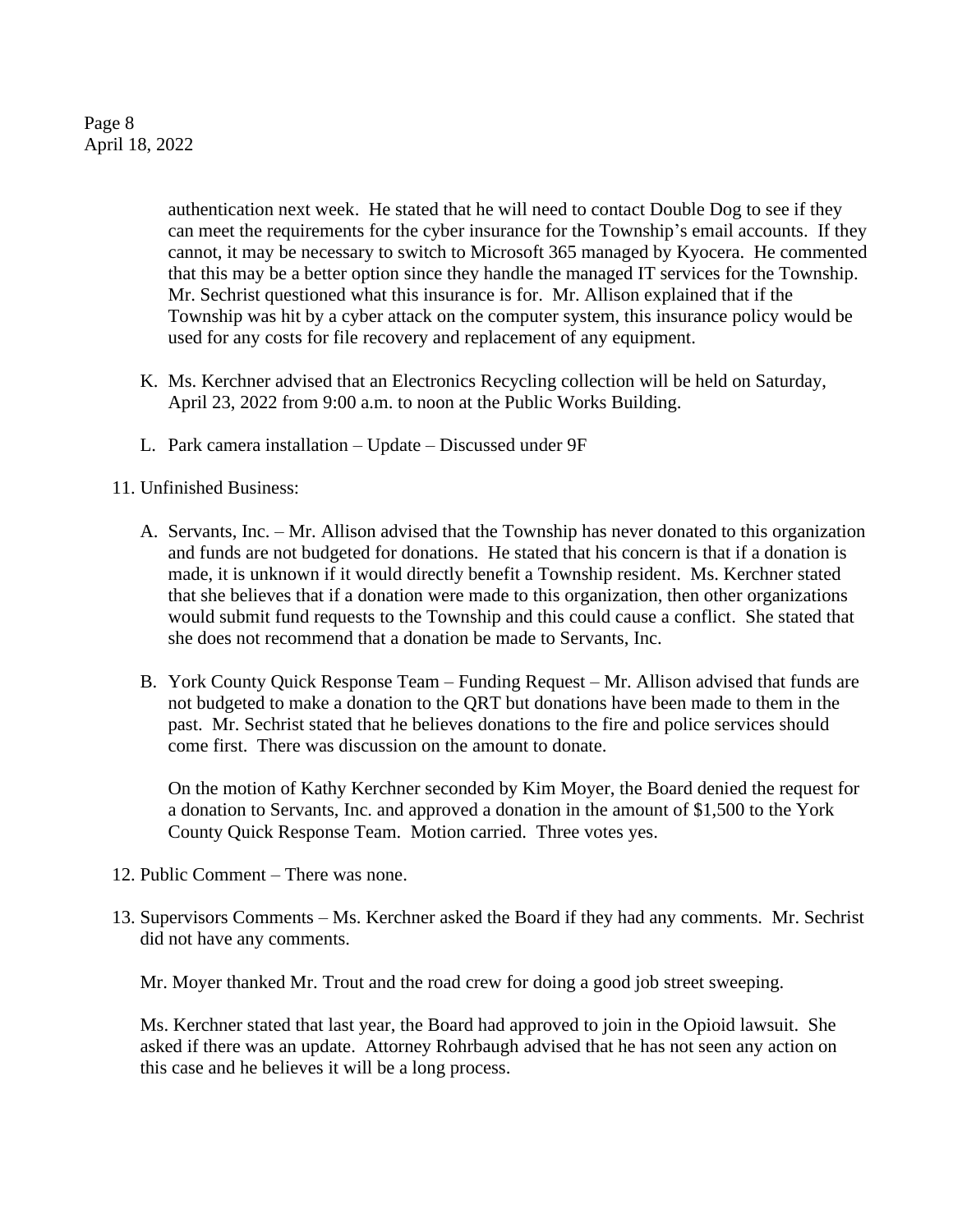Page 8 April 18, 2022

> authentication next week. He stated that he will need to contact Double Dog to see if they can meet the requirements for the cyber insurance for the Township's email accounts. If they cannot, it may be necessary to switch to Microsoft 365 managed by Kyocera. He commented that this may be a better option since they handle the managed IT services for the Township. Mr. Sechrist questioned what this insurance is for. Mr. Allison explained that if the Township was hit by a cyber attack on the computer system, this insurance policy would be used for any costs for file recovery and replacement of any equipment.

- K. Ms. Kerchner advised that an Electronics Recycling collection will be held on Saturday, April 23, 2022 from 9:00 a.m. to noon at the Public Works Building.
- L. Park camera installation Update Discussed under 9F

11. Unfinished Business:

- A. Servants, Inc. Mr. Allison advised that the Township has never donated to this organization and funds are not budgeted for donations. He stated that his concern is that if a donation is made, it is unknown if it would directly benefit a Township resident. Ms. Kerchner stated that she believes that if a donation were made to this organization, then other organizations would submit fund requests to the Township and this could cause a conflict. She stated that she does not recommend that a donation be made to Servants, Inc.
- B. York County Quick Response Team Funding Request Mr. Allison advised that funds are not budgeted to make a donation to the QRT but donations have been made to them in the past. Mr. Sechrist stated that he believes donations to the fire and police services should come first. There was discussion on the amount to donate.

On the motion of Kathy Kerchner seconded by Kim Moyer, the Board denied the request for a donation to Servants, Inc. and approved a donation in the amount of \$1,500 to the York County Quick Response Team. Motion carried. Three votes yes.

- 12. Public Comment There was none.
- 13. Supervisors Comments Ms. Kerchner asked the Board if they had any comments. Mr. Sechrist did not have any comments.

Mr. Moyer thanked Mr. Trout and the road crew for doing a good job street sweeping.

Ms. Kerchner stated that last year, the Board had approved to join in the Opioid lawsuit. She asked if there was an update. Attorney Rohrbaugh advised that he has not seen any action on this case and he believes it will be a long process.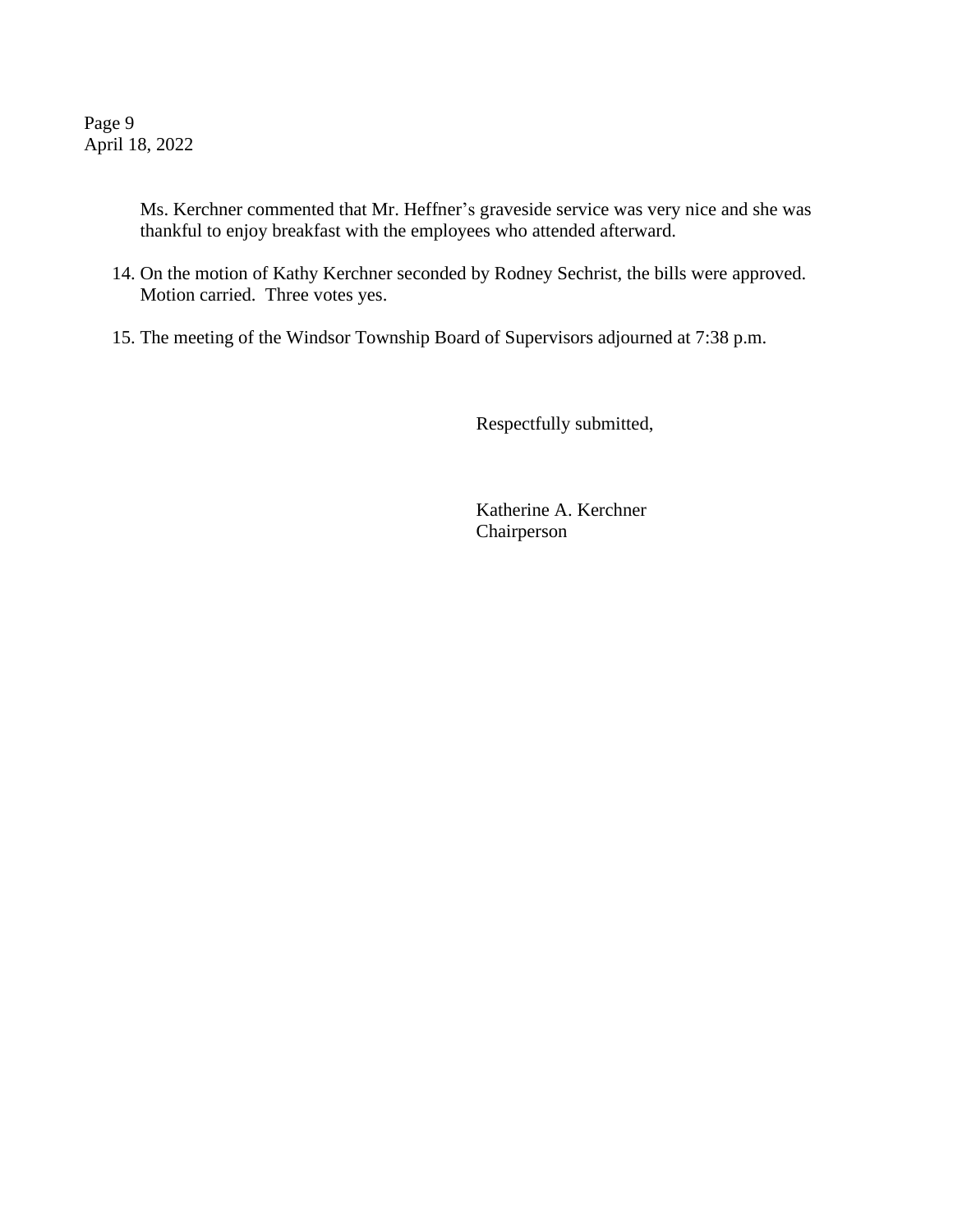Page 9 April 18, 2022

> Ms. Kerchner commented that Mr. Heffner's graveside service was very nice and she was thankful to enjoy breakfast with the employees who attended afterward.

- 14. On the motion of Kathy Kerchner seconded by Rodney Sechrist, the bills were approved. Motion carried. Three votes yes.
- 15. The meeting of the Windsor Township Board of Supervisors adjourned at 7:38 p.m.

Respectfully submitted,

Katherine A. Kerchner Chairperson